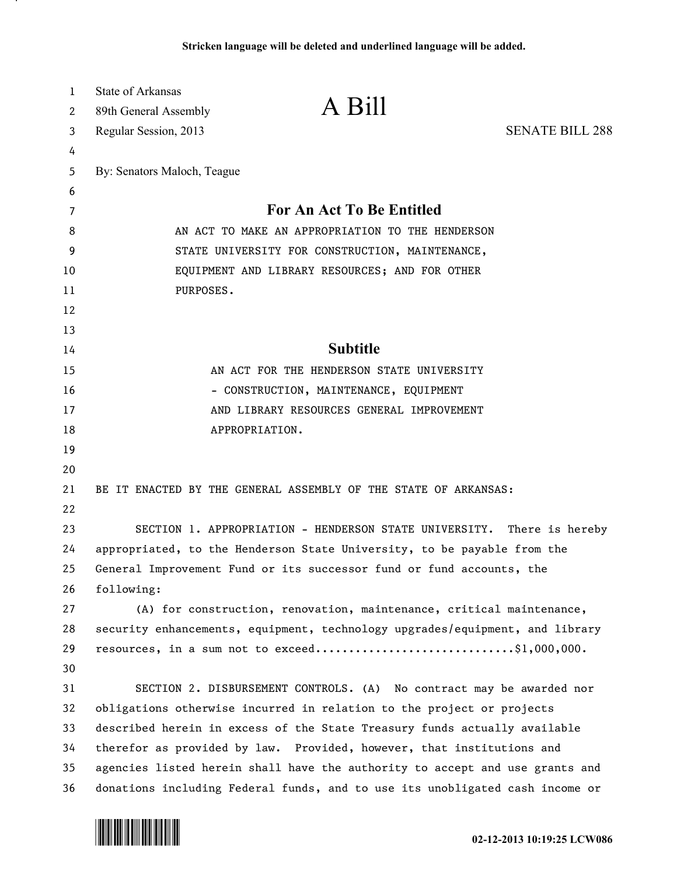| $\mathbf{1}$ | <b>State of Arkansas</b>                                                  |                                                                              |                        |
|--------------|---------------------------------------------------------------------------|------------------------------------------------------------------------------|------------------------|
| 2            | 89th General Assembly                                                     | A Bill                                                                       |                        |
| 3            | Regular Session, 2013                                                     |                                                                              | <b>SENATE BILL 288</b> |
| 4            |                                                                           |                                                                              |                        |
| 5            | By: Senators Maloch, Teague                                               |                                                                              |                        |
| 6            |                                                                           |                                                                              |                        |
| 7            |                                                                           | <b>For An Act To Be Entitled</b>                                             |                        |
| 8            | AN ACT TO MAKE AN APPROPRIATION TO THE HENDERSON                          |                                                                              |                        |
| 9            | STATE UNIVERSITY FOR CONSTRUCTION, MAINTENANCE,                           |                                                                              |                        |
| 10           | EQUIPMENT AND LIBRARY RESOURCES; AND FOR OTHER                            |                                                                              |                        |
| 11           | PURPOSES.                                                                 |                                                                              |                        |
| 12           |                                                                           |                                                                              |                        |
| 13           |                                                                           |                                                                              |                        |
| 14           |                                                                           | <b>Subtitle</b>                                                              |                        |
| 15           |                                                                           | AN ACT FOR THE HENDERSON STATE UNIVERSITY                                    |                        |
| 16           | - CONSTRUCTION, MAINTENANCE, EQUIPMENT                                    |                                                                              |                        |
| 17           | AND LIBRARY RESOURCES GENERAL IMPROVEMENT                                 |                                                                              |                        |
| 18           |                                                                           | APPROPRIATION.                                                               |                        |
| 19           |                                                                           |                                                                              |                        |
| 20           |                                                                           |                                                                              |                        |
| 21           |                                                                           | BE IT ENACTED BY THE GENERAL ASSEMBLY OF THE STATE OF ARKANSAS:              |                        |
| 22           |                                                                           |                                                                              |                        |
| 23           |                                                                           | SECTION 1. APPROPRIATION - HENDERSON STATE UNIVERSITY. There is hereby       |                        |
| 24           | appropriated, to the Henderson State University, to be payable from the   |                                                                              |                        |
| 25           |                                                                           | General Improvement Fund or its successor fund or fund accounts, the         |                        |
| 26           | following:                                                                |                                                                              |                        |
| 27           |                                                                           | (A) for construction, renovation, maintenance, critical maintenance,         |                        |
| 28           |                                                                           | security enhancements, equipment, technology upgrades/equipment, and library |                        |
| 29           |                                                                           | resources, in a sum not to exceed\$1,000,000.                                |                        |
| 30           |                                                                           |                                                                              |                        |
| 31           |                                                                           | SECTION 2. DISBURSEMENT CONTROLS. (A) No contract may be awarded nor         |                        |
| 32           |                                                                           | obligations otherwise incurred in relation to the project or projects        |                        |
| 33           | described herein in excess of the State Treasury funds actually available |                                                                              |                        |
| 34           |                                                                           | therefor as provided by law. Provided, however, that institutions and        |                        |
| 35           |                                                                           | agencies listed herein shall have the authority to accept and use grants and |                        |
| 36           |                                                                           | donations including Federal funds, and to use its unobligated cash income or |                        |



л.